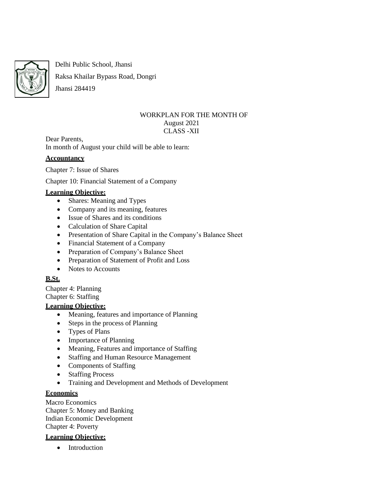

Delhi Public School, Jhansi

Raksa Khailar Bypass Road, Dongri

Jhansi 284419

#### WORKPLAN FOR THE MONTH OF August 2021 CLASS -XII

Dear Parents, In month of August your child will be able to learn:

## **Accountancy**

Chapter 7: Issue of Shares

Chapter 10: Financial Statement of a Company

# **Learning Objective:**

- Shares: Meaning and Types
- Company and its meaning, features
- Issue of Shares and its conditions
- Calculation of Share Capital
- Presentation of Share Capital in the Company's Balance Sheet
- Financial Statement of a Company
- Preparation of Company's Balance Sheet
- Preparation of Statement of Profit and Loss
- Notes to Accounts

# **B.St.**

Chapter 4: Planning Chapter 6: Staffing

# **Learning Objective:**

- Meaning, features and importance of Planning
- Steps in the process of Planning
- Types of Plans
- Importance of Planning
- Meaning, Features and importance of Staffing
- Staffing and Human Resource Management
- Components of Staffing
- Staffing Process
- Training and Development and Methods of Development

# **Economics**

Macro Economics Chapter 5: Money and Banking Indian Economic Development Chapter 4: Poverty

#### **Learning Objective:**

• Introduction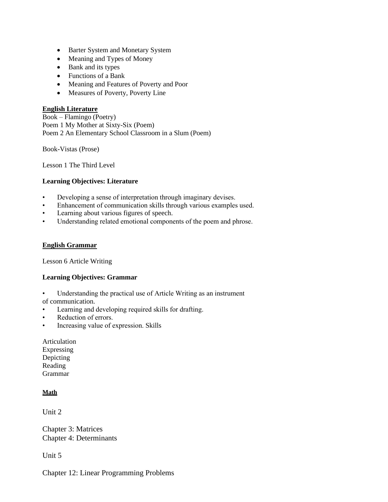- Barter System and Monetary System
- Meaning and Types of Money
- Bank and its types
- Functions of a Bank
- Meaning and Features of Poverty and Poor
- Measures of Poverty, Poverty Line

## **English Literature**

Book – Flamingo (Poetry) Poem 1 My Mother at Sixty-Six (Poem) Poem 2 An Elementary School Classroom in a Slum (Poem)

Book-Vistas (Prose)

Lesson 1 The Third Level

## **Learning Objectives: Literature**

- Developing a sense of interpretation through imaginary devises.
- Enhancement of communication skills through various examples used.
- Learning about various figures of speech.
- Understanding related emotional components of the poem and phrose.

#### **English Grammar**

Lesson 6 Article Writing

#### **Learning Objectives: Grammar**

- Understanding the practical use of Article Writing as an instrument
- of communication.
- Learning and developing required skills for drafting.
- Reduction of errors.
- Increasing value of expression. Skills
- Articulation Expressing Depicting Reading Grammar

## **Math**

Unit 2

Chapter 3: Matrices Chapter 4: Determinants

Unit 5

Chapter 12: Linear Programming Problems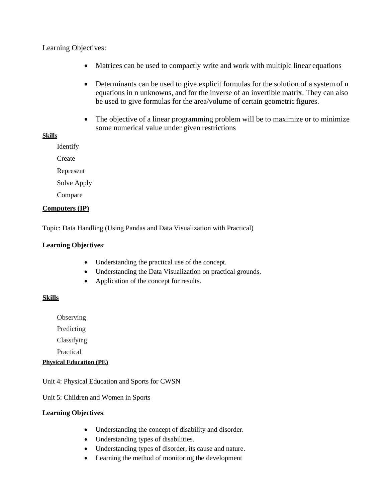# Learning Objectives:

- Matrices can be used to compactly write and work with multiple linear equations
- Determinants can be used to give explicit formulas for the solution of a system of n equations in n unknowns, and for the inverse of an invertible matrix. They can also be used to give formulas for the area/volume of certain geometric figures.
- The objective of a linear programming problem will be to maximize or to minimize some numerical value under given restrictions

#### **Skills**

Identify

**Create** 

Represent

Solve Apply

Compare

#### **Computers (IP)**

Topic: Data Handling (Using Pandas and Data Visualization with Practical)

#### **Learning Objectives**:

- Understanding the practical use of the concept.
- Understanding the Data Visualization on practical grounds.
- Application of the concept for results.

#### **Skills**

**Observing** 

Predicting

Classifying

Practical

#### **Physical Education (PE)**

Unit 4: Physical Education and Sports for CWSN

Unit 5: Children and Women in Sports

#### **Learning Objectives**:

- Understanding the concept of disability and disorder.
- Understanding types of disabilities.
- Understanding types of disorder, its cause and nature.
- Learning the method of monitoring the development